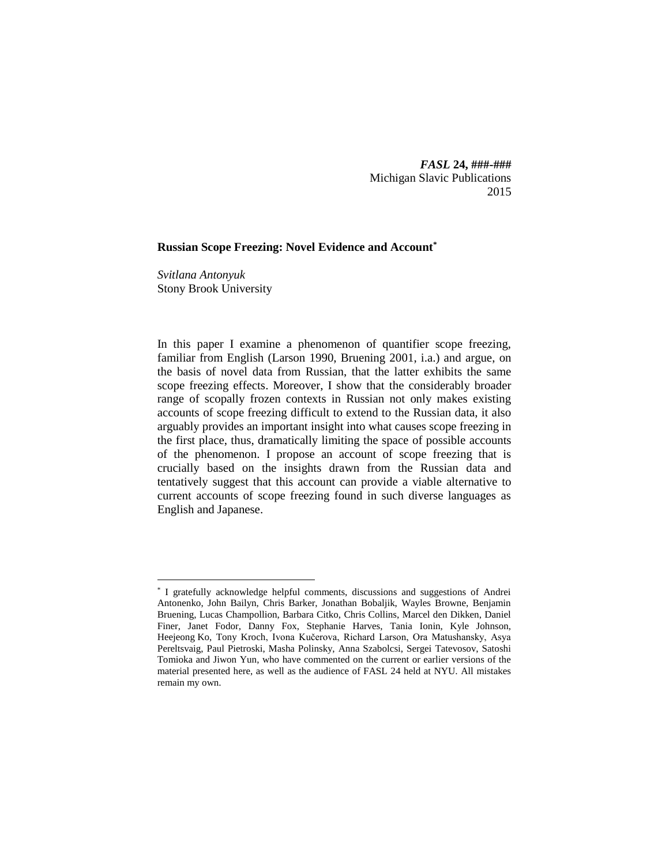*FASL* **24, ###-###** Michigan Slavic Publications 2015

## **Russian Scope Freezing: Novel Evidence and Account\***

*Svitlana Antonyuk* Stony Brook University

 $\overline{a}$ 

In this paper I examine a phenomenon of quantifier scope freezing, familiar from English (Larson 1990, Bruening 2001, i.a.) and argue, on the basis of novel data from Russian, that the latter exhibits the same scope freezing effects. Moreover, I show that the considerably broader range of scopally frozen contexts in Russian not only makes existing accounts of scope freezing difficult to extend to the Russian data, it also arguably provides an important insight into what causes scope freezing in the first place, thus, dramatically limiting the space of possible accounts of the phenomenon. I propose an account of scope freezing that is crucially based on the insights drawn from the Russian data and tentatively suggest that this account can provide a viable alternative to current accounts of scope freezing found in such diverse languages as English and Japanese.

<sup>\*</sup> I gratefully acknowledge helpful comments, discussions and suggestions of Andrei Antonenko, John Bailyn, Chris Barker, Jonathan Bobaljik, Wayles Browne, Benjamin Bruening, Lucas Champollion, Barbara Citko, Chris Collins, Marcel den Dikken, Daniel Finer, Janet Fodor, Danny Fox, Stephanie Harves, Tania Ionin, Kyle Johnson, Heejeong Ko, Tony Kroch, Ivona Kučerova, Richard Larson, Ora Matushansky, Asya Pereltsvaig, Paul Pietroski, Masha Polinsky, Anna Szabolcsi, Sergei Tatevosov, Satoshi Tomioka and Jiwon Yun, who have commented on the current or earlier versions of the material presented here, as well as the audience of FASL 24 held at NYU. All mistakes remain my own.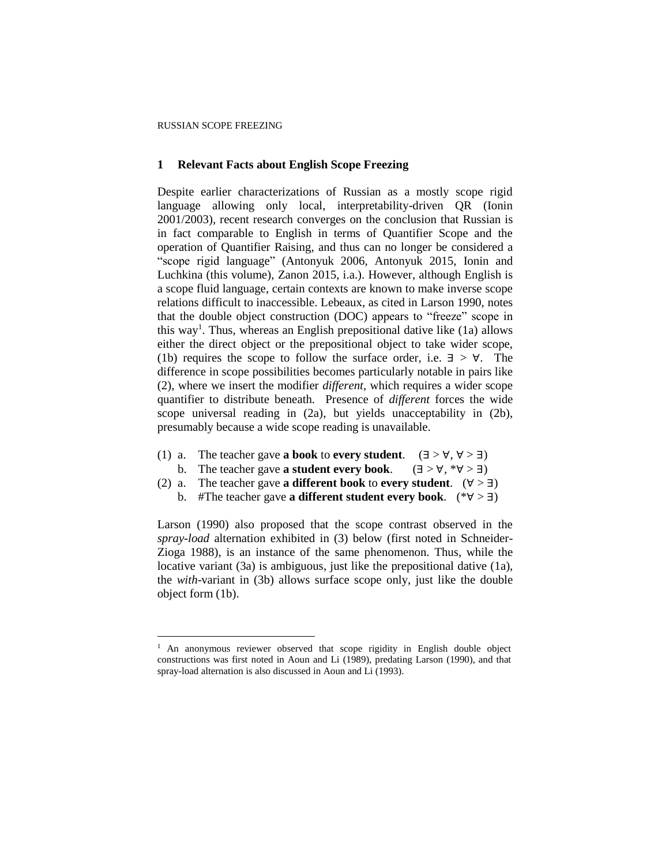### **1 Relevant Facts about English Scope Freezing**

Despite earlier characterizations of Russian as a mostly scope rigid language allowing only local, interpretability-driven QR (Ionin 2001/2003), recent research converges on the conclusion that Russian is in fact comparable to English in terms of Quantifier Scope and the operation of Quantifier Raising, and thus can no longer be considered a "scope rigid language" (Antonyuk 2006, Antonyuk 2015, Ionin and Luchkina (this volume), Zanon 2015, i.a.). However, although English is a scope fluid language, certain contexts are known to make inverse scope relations difficult to inaccessible. Lebeaux, as cited in Larson 1990, notes that the double object construction (DOC) appears to "freeze" scope in this way<sup>1</sup>. Thus, whereas an English prepositional dative like (1a) allows either the direct object or the prepositional object to take wider scope, (1b) requires the scope to follow the surface order, i.e.  $\exists$  >  $\forall$ . The difference in scope possibilities becomes particularly notable in pairs like (2), where we insert the modifier *different*, which requires a wider scope quantifier to distribute beneath. Presence of *different* forces the wide scope universal reading in (2a), but yields unacceptability in (2b), presumably because a wide scope reading is unavailable.

- (1) a. The teacher gave **a book** to **every student**.  $(\exists > \forall, \forall > \exists)$ b. The teacher gave **a student every book**.  $(\exists > \forall, * \forall > \exists)$
- (2) a. The teacher gave **a different book** to **every student**.  $(\forall > \exists)$

b. #The teacher gave **a different student every book**. (\*∀ > ∃)

Larson (1990) also proposed that the scope contrast observed in the *spray-load* alternation exhibited in (3) below (first noted in Schneider-Zioga 1988), is an instance of the same phenomenon. Thus, while the locative variant (3a) is ambiguous, just like the prepositional dative (1a), the *with*-variant in (3b) allows surface scope only, just like the double object form (1b).

<sup>&</sup>lt;sup>1</sup> An anonymous reviewer observed that scope rigidity in English double object constructions was first noted in Aoun and Li (1989), predating Larson (1990), and that spray-load alternation is also discussed in Aoun and Li (1993).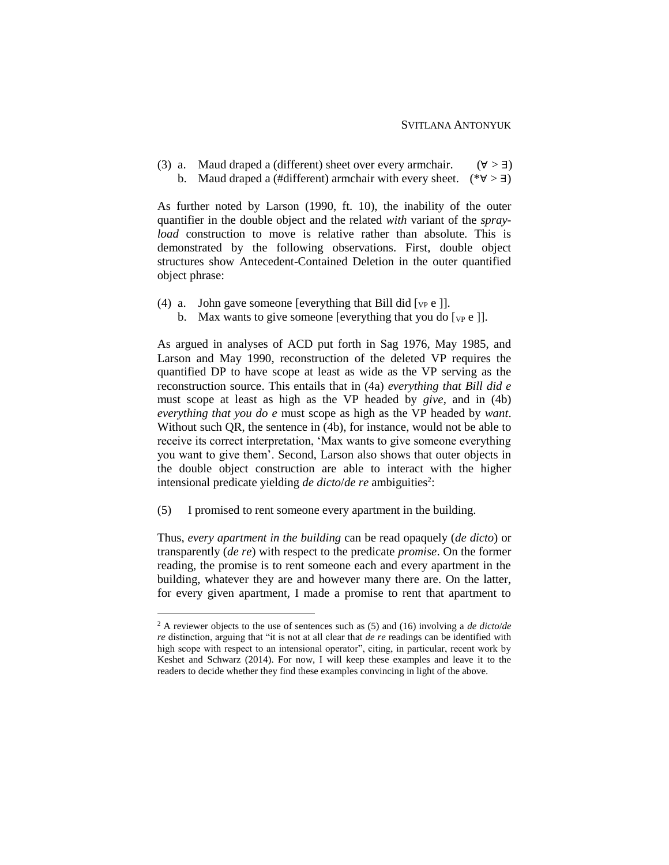(3) a. Maud draped a (different) sheet over every armchair.  $(\forall > 1)$ b. Maud draped a (#different) armchair with every sheet.  $(*\forall > \exists)$ 

As further noted by Larson (1990, ft. 10), the inability of the outer quantifier in the double object and the related *with* variant of the *sprayload* construction to move is relative rather than absolute. This is demonstrated by the following observations. First, double object structures show Antecedent-Contained Deletion in the outer quantified object phrase:

- (4) a. John gave someone [everything that Bill did  $[\nu_P e]]$ .
	- b. Max wants to give someone [everything that you do  $[\n \psi_{\text{P}} e$ ]].

As argued in analyses of ACD put forth in Sag 1976, May 1985, and Larson and May 1990, reconstruction of the deleted VP requires the quantified DP to have scope at least as wide as the VP serving as the reconstruction source. This entails that in (4a) *everything that Bill did e* must scope at least as high as the VP headed by *give*, and in (4b) *everything that you do e* must scope as high as the VP headed by *want*. Without such QR, the sentence in (4b), for instance, would not be able to receive its correct interpretation, 'Max wants to give someone everything you want to give them'. Second, Larson also shows that outer objects in the double object construction are able to interact with the higher intensional predicate yielding *de dicto/de re* ambiguities<sup>2</sup>:

(5) I promised to rent someone every apartment in the building.

 $\overline{a}$ 

Thus, *every apartment in the building* can be read opaquely (*de dicto*) or transparently (*de re*) with respect to the predicate *promise*. On the former reading, the promise is to rent someone each and every apartment in the building, whatever they are and however many there are. On the latter, for every given apartment, I made a promise to rent that apartment to

<sup>2</sup> A reviewer objects to the use of sentences such as (5) and (16) involving a *de dicto*/*de re* distinction, arguing that "it is not at all clear that *de re* readings can be identified with high scope with respect to an intensional operator", citing, in particular, recent work by Keshet and Schwarz (2014). For now, I will keep these examples and leave it to the readers to decide whether they find these examples convincing in light of the above.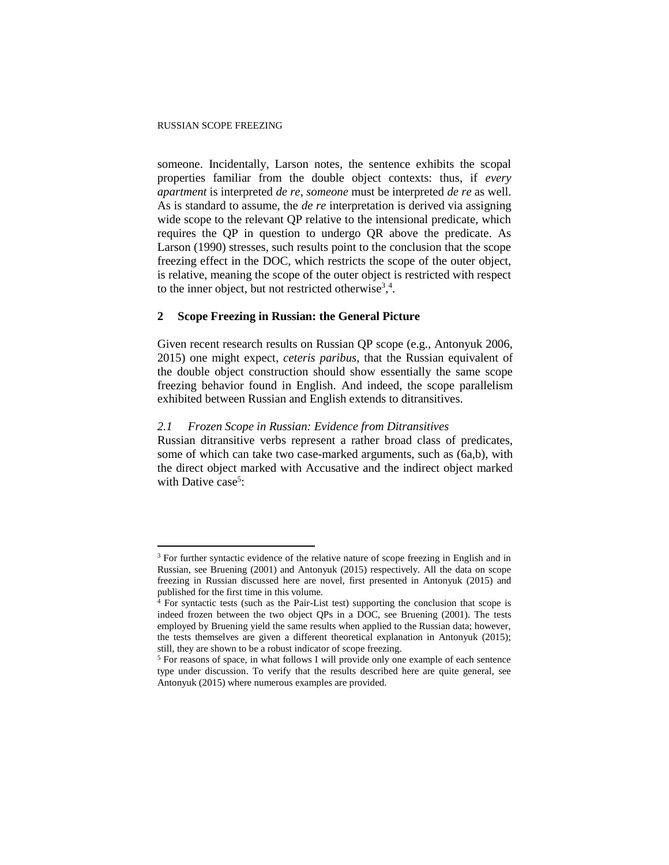someone. Incidentally, Larson notes, the sentence exhibits the scopal properties familiar from the double object contexts: thus, if *every apartment* is interpreted *de re*, *someone* must be interpreted *de re* as well. As is standard to assume, the *de re* interpretation is derived via assigning wide scope to the relevant QP relative to the intensional predicate, which requires the QP in question to undergo QR above the predicate. As Larson (1990) stresses, such results point to the conclusion that the scope freezing effect in the DOC, which restricts the scope of the outer object, is relative, meaning the scope of the outer object is restricted with respect to the inner object, but not restricted otherwise<sup>3,4</sup>.

## **2 Scope Freezing in Russian: the General Picture**

Given recent research results on Russian QP scope (e.g., Antonyuk 2006, 2015) one might expect, *ceteris paribus*, that the Russian equivalent of the double object construction should show essentially the same scope freezing behavior found in English. And indeed, the scope parallelism exhibited between Russian and English extends to ditransitives.

## *2.1 Frozen Scope in Russian: Evidence from Ditransitives*

Russian ditransitive verbs represent a rather broad class of predicates, some of which can take two case-marked arguments, such as (6a,b), with the direct object marked with Accusative and the indirect object marked with Dative case<sup>5</sup>:

<sup>&</sup>lt;sup>3</sup> For further syntactic evidence of the relative nature of scope freezing in English and in Russian, see Bruening (2001) and Antonyuk (2015) respectively. All the data on scope freezing in Russian discussed here are novel, first presented in Antonyuk (2015) and published for the first time in this volume.

<sup>4</sup> For syntactic tests (such as the Pair-List test) supporting the conclusion that scope is indeed frozen between the two object QPs in a DOC, see Bruening (2001). The tests employed by Bruening yield the same results when applied to the Russian data; however, the tests themselves are given a different theoretical explanation in Antonyuk (2015); still, they are shown to be a robust indicator of scope freezing.

<sup>5</sup> For reasons of space, in what follows I will provide only one example of each sentence type under discussion. To verify that the results described here are quite general, see Antonyuk (2015) where numerous examples are provided.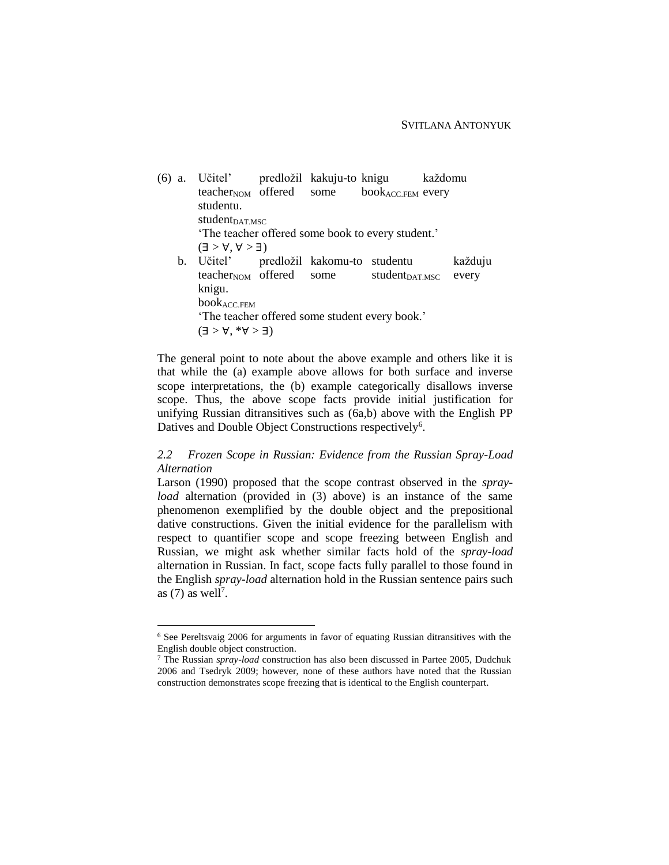(6) a. Učitel' predložil kakuju-to knigu každomu teacher<sub>NOM</sub> offered some book<sub>ACC.FEM</sub> every studentu. student<sub>DAT.MSC</sub> 'The teacher offered some book to every student.'  $(\exists > \forall, \forall > \exists)$ b. Učitel' predložil kakomu-to studentu každuju teacher<sub>NOM</sub> offered some student<sub>DAT.MSC</sub> every knigu. bookACC.FEM 'The teacher offered some student every book.'  $(E < \forall$ ,  $\forall$   $>$   $\exists$ )

The general point to note about the above example and others like it is that while the (a) example above allows for both surface and inverse scope interpretations, the (b) example categorically disallows inverse scope. Thus, the above scope facts provide initial justification for unifying Russian ditransitives such as (6a,b) above with the English PP Datives and Double Object Constructions respectively<sup>6</sup>.

# *2.2 Frozen Scope in Russian: Evidence from the Russian Spray-Load Alternation*

Larson (1990) proposed that the scope contrast observed in the *sprayload* alternation (provided in (3) above) is an instance of the same phenomenon exemplified by the double object and the prepositional dative constructions. Given the initial evidence for the parallelism with respect to quantifier scope and scope freezing between English and Russian, we might ask whether similar facts hold of the *spray-load* alternation in Russian. In fact, scope facts fully parallel to those found in the English *spray-load* alternation hold in the Russian sentence pairs such as  $(7)$  as well<sup>7</sup>.

<sup>6</sup> See Pereltsvaig 2006 for arguments in favor of equating Russian ditransitives with the English double object construction.

<sup>7</sup> The Russian *spray-load* construction has also been discussed in Partee 2005, Dudchuk 2006 and Tsedryk 2009; however, none of these authors have noted that the Russian construction demonstrates scope freezing that is identical to the English counterpart.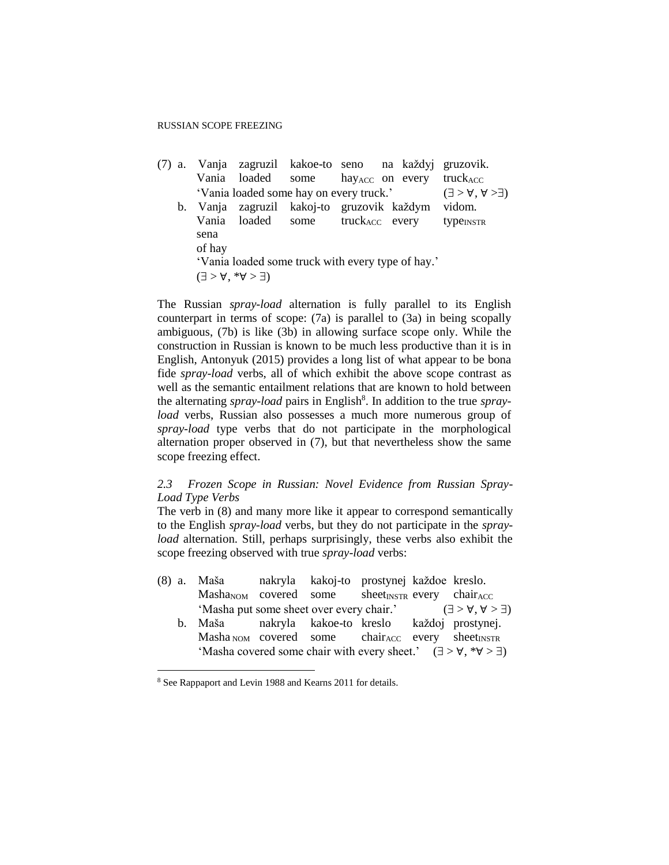## RUSSIAN SCOPE FREEZING

|        |                                            |                                         | (7) a. Vanja zagruzil kakoe-to seno na každyj gruzovik. |                                          |
|--------|--------------------------------------------|-----------------------------------------|---------------------------------------------------------|------------------------------------------|
|        |                                            |                                         | Vania loaded some hay accon every truck Acco            |                                          |
|        |                                            | 'Vania loaded some hay on every truck.' |                                                         | $(\exists > \forall, \forall > \exists)$ |
|        |                                            |                                         | b. Vanja zagruzil kakoj-to gruzovik každym              | vidom.                                   |
|        |                                            | Vania loaded some truckAcc every        |                                                         | type <sub>INSTR</sub>                    |
| sena   |                                            |                                         |                                                         |                                          |
| of hay |                                            |                                         |                                                         |                                          |
|        |                                            |                                         | 'Vania loaded some truck with every type of hay.'       |                                          |
|        | $(\exists > \forall, * \forall > \exists)$ |                                         |                                                         |                                          |

The Russian *spray-load* alternation is fully parallel to its English counterpart in terms of scope: (7a) is parallel to (3a) in being scopally ambiguous, (7b) is like (3b) in allowing surface scope only. While the construction in Russian is known to be much less productive than it is in English, Antonyuk (2015) provides a long list of what appear to be bona fide *spray-load* verbs, all of which exhibit the above scope contrast as well as the semantic entailment relations that are known to hold between the alternating *spray-load* pairs in English<sup>8</sup>. In addition to the true *sprayload* verbs, Russian also possesses a much more numerous group of *spray-load* type verbs that do not participate in the morphological alternation proper observed in (7), but that nevertheless show the same scope freezing effect.

## *2.3 Frozen Scope in Russian: Novel Evidence from Russian Spray-Load Type Verbs*

The verb in (8) and many more like it appear to correspond semantically to the English *spray-load* verbs, but they do not participate in the *sprayload* alternation. Still, perhaps surprisingly, these verbs also exhibit the scope freezing observed with true *spray-load* verbs:

|  | (8) a. Maša nakryla kakoj-to prostynej každoe kreslo.                                  |  |  |                                                                                   |
|--|----------------------------------------------------------------------------------------|--|--|-----------------------------------------------------------------------------------|
|  | $Mash_{AVOM}$ covered some sheet <sub>INSTR</sub> every chair <sub>ACC</sub>           |  |  |                                                                                   |
|  |                                                                                        |  |  | 'Masha put some sheet over every chair.' $(\exists > \forall, \forall > \exists)$ |
|  | b. Maša nakryla kakoe-to kreslo každoj prostynej.                                      |  |  |                                                                                   |
|  | $Masha_{NOM}$ covered some chair <sub>ACC</sub> every sheet <sub>INSTR</sub>           |  |  |                                                                                   |
|  | 'Masha covered some chair with every sheet.' $(\exists > \forall, *\forall > \exists)$ |  |  |                                                                                   |

<sup>8</sup> See Rappaport and Levin 1988 and Kearns 2011 for details.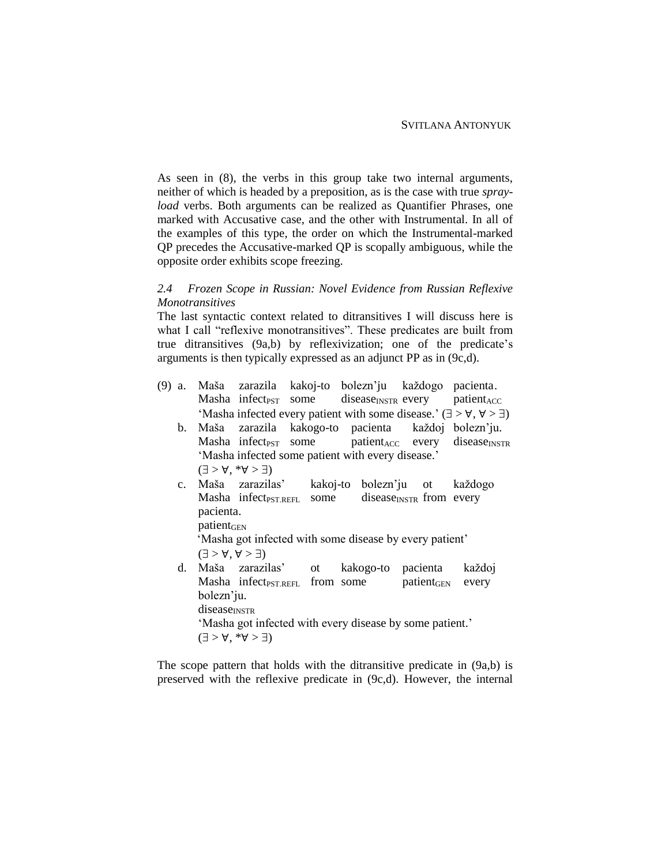As seen in (8), the verbs in this group take two internal arguments, neither of which is headed by a preposition, as is the case with true *sprayload* verbs. Both arguments can be realized as Quantifier Phrases, one marked with Accusative case, and the other with Instrumental. In all of the examples of this type, the order on which the Instrumental-marked QP precedes the Accusative-marked QP is scopally ambiguous, while the opposite order exhibits scope freezing.

## *2.4 Frozen Scope in Russian: Novel Evidence from Russian Reflexive Monotransitives*

The last syntactic context related to ditransitives I will discuss here is what I call "reflexive monotransitives". These predicates are built from true ditransitives (9a,b) by reflexivization; one of the predicate's arguments is then typically expressed as an adjunct PP as in (9c,d).

- (9) a. Maša zarazila kakoj-to bolezn'ju každogo pacienta. Masha infect<sub>PST</sub> some disease<sub>INSTR</sub> every patient<sub>ACC</sub> 'Masha infected every patient with some disease.'  $(\exists > \forall, \forall > \exists)$ 
	- b. Maša zarazila kakogo-to pacienta každoj bolezn'ju. Masha infect<sub>PST</sub> some patient<sub>ACC</sub> every disease<sub>INSTR</sub> 'Masha infected some patient with every disease.'  $(\exists > \forall, * \forall > \exists)$
	- c. Maša zarazilas' kakoj-to bolezn'ju ot každogo Masha infect *pST.REFL* some disease<sub>INSTR</sub> from every pacienta.  $pation$ <sub>GEN</sub>

 'Masha got infected with some disease by every patient'  $(\exists > \forall, \forall > \exists)$ 

d. Maša zarazilas' ot kakogo-to pacienta každoj Masha infect  $PST.REFL$  from some patient<sub>GEN</sub> every bolezn'ju. diseaseINSTR 'Masha got infected with every disease by some patient.'  $(\exists > \forall, *\forall > \exists)$ 

The scope pattern that holds with the ditransitive predicate in (9a,b) is preserved with the reflexive predicate in (9c,d). However, the internal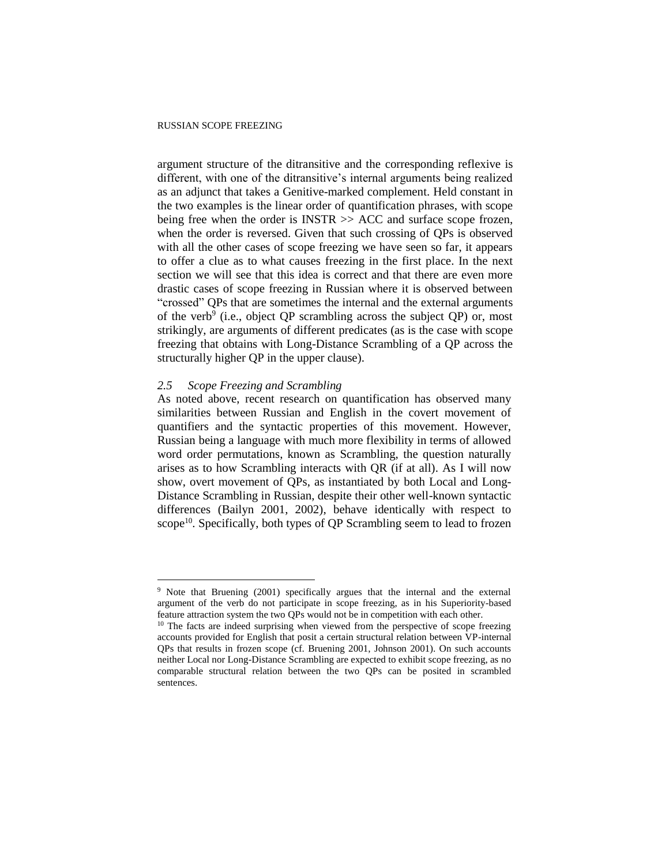#### RUSSIAN SCOPE FREEZING

argument structure of the ditransitive and the corresponding reflexive is different, with one of the ditransitive's internal arguments being realized as an adjunct that takes a Genitive-marked complement. Held constant in the two examples is the linear order of quantification phrases, with scope being free when the order is INSTR  $\gg$  ACC and surface scope frozen, when the order is reversed. Given that such crossing of QPs is observed with all the other cases of scope freezing we have seen so far, it appears to offer a clue as to what causes freezing in the first place. In the next section we will see that this idea is correct and that there are even more drastic cases of scope freezing in Russian where it is observed between "crossed" QPs that are sometimes the internal and the external arguments of the verb<sup>9</sup> (i.e., object QP scrambling across the subject QP) or, most strikingly, are arguments of different predicates (as is the case with scope freezing that obtains with Long-Distance Scrambling of a QP across the structurally higher QP in the upper clause).

#### *2.5 Scope Freezing and Scrambling*

 $\overline{a}$ 

As noted above, recent research on quantification has observed many similarities between Russian and English in the covert movement of quantifiers and the syntactic properties of this movement. However, Russian being a language with much more flexibility in terms of allowed word order permutations, known as Scrambling, the question naturally arises as to how Scrambling interacts with QR (if at all). As I will now show, overt movement of QPs, as instantiated by both Local and Long-Distance Scrambling in Russian, despite their other well-known syntactic differences (Bailyn 2001, 2002), behave identically with respect to  $\text{scope}^{10}$ . Specifically, both types of QP Scrambling seem to lead to frozen

<sup>&</sup>lt;sup>9</sup> Note that Bruening (2001) specifically argues that the internal and the external argument of the verb do not participate in scope freezing, as in his Superiority-based feature attraction system the two QPs would not be in competition with each other.

<sup>&</sup>lt;sup>10</sup> The facts are indeed surprising when viewed from the perspective of scope freezing accounts provided for English that posit a certain structural relation between VP-internal QPs that results in frozen scope (cf. Bruening 2001, Johnson 2001). On such accounts neither Local nor Long-Distance Scrambling are expected to exhibit scope freezing, as no comparable structural relation between the two QPs can be posited in scrambled sentences.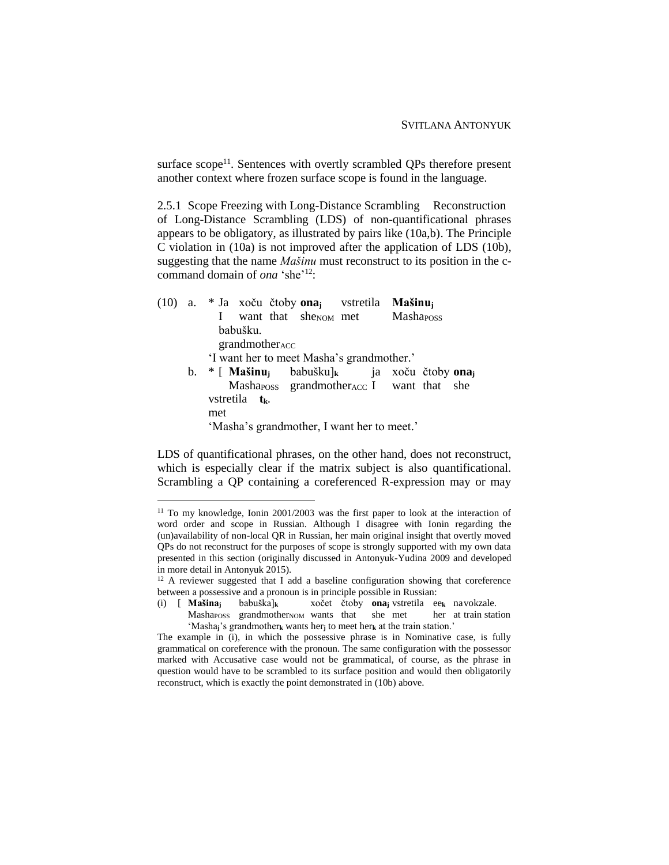surface  $\text{scope}^{11}$ . Sentences with overtly scrambled OPs therefore present another context where frozen surface scope is found in the language.

2.5.1 Scope Freezing with Long-Distance Scrambling Reconstruction of Long-Distance Scrambling (LDS) of non-quantificational phrases appears to be obligatory, as illustrated by pairs like (10a,b). The Principle C violation in (10a) is not improved after the application of LDS (10b), suggesting that the name *Mašinu* must reconstruct to its position in the ccommand domain of *ona* 'she'<sup>12</sup>:

|  | (10) a. * Ja xoču čtoby ona <sub>i</sub> vstretila Mašinu <sub>i</sub>                 |
|--|----------------------------------------------------------------------------------------|
|  | want that she <sub>NOM</sub> met Mashaross                                             |
|  | babušku.                                                                               |
|  | $grandmother_{ACC}$                                                                    |
|  | 'I want her to meet Masha's grandmother.'                                              |
|  | b. * [ <b>Mašinu</b> <sub>i</sub> babušku] <sub>k</sub> ja xoču čtoby ona <sub>j</sub> |
|  | Mashaposs grandmother ACC I want that she                                              |
|  | vstretila $t_{k}$ .                                                                    |
|  | met                                                                                    |
|  | 'Masha's grandmother, I want her to meet.'                                             |
|  |                                                                                        |

 $\overline{a}$ 

LDS of quantificational phrases, on the other hand, does not reconstruct, which is especially clear if the matrix subject is also quantificational. Scrambling a QP containing a coreferenced R-expression may or may

<sup>11</sup> To my knowledge, Ionin 2001/2003 was the first paper to look at the interaction of word order and scope in Russian. Although I disagree with Ionin regarding the (un)availability of non-local QR in Russian, her main original insight that overtly moved QPs do not reconstruct for the purposes of scope is strongly supported with my own data presented in this section (originally discussed in Antonyuk-Yudina 2009 and developed in more detail in Antonyuk 2015).

<sup>&</sup>lt;sup>12</sup> A reviewer suggested that I add a baseline configuration showing that coreference between a possessive and a pronoun is in principle possible in Russian:<br>(i)  $\left[\right]$  **Mašina** babuška<sub>lk</sub> xočet čtoby **ona** vstretila ex

<sup>(</sup>i) [ **Mašina<sup>j</sup>** babuška]**<sup>k</sup>** xočet čtoby **ona<sup>j</sup>** vstretila ee**<sup>k</sup>** navokzale.

Mashaposs grandmotherNOM wants that she met her at train station 'Masha**j**'s grandmother**<sup>k</sup>** wants her**<sup>j</sup>** to meet her**<sup>k</sup>** at the train station.'

The example in (i), in which the possessive phrase is in Nominative case, is fully grammatical on coreference with the pronoun. The same configuration with the possessor marked with Accusative case would not be grammatical, of course, as the phrase in question would have to be scrambled to its surface position and would then obligatorily reconstruct, which is exactly the point demonstrated in (10b) above.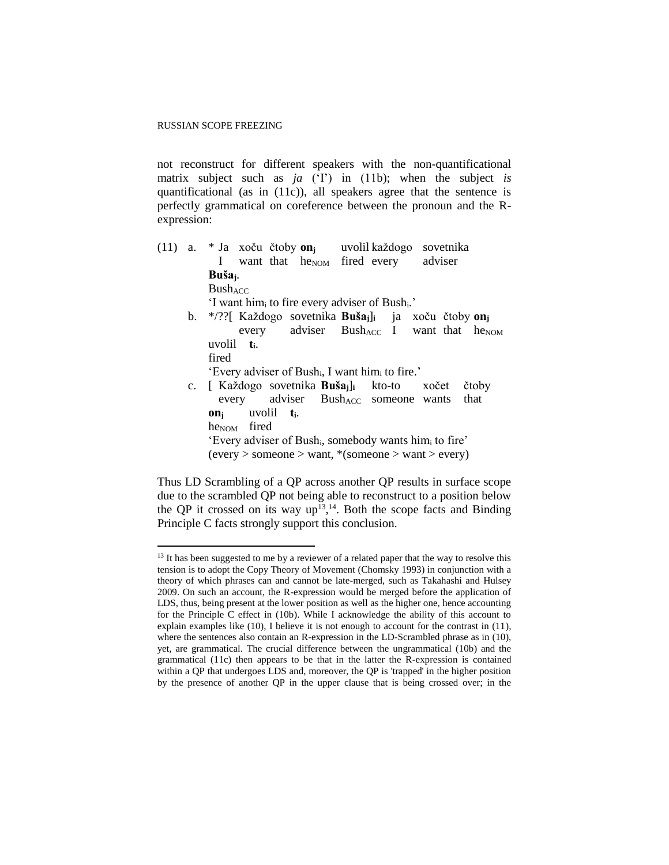not reconstruct for different speakers with the non-quantificational matrix subject such as *ja* ('I') in (11b); when the subject *is* quantificational (as in (11c)), all speakers agree that the sentence is perfectly grammatical on coreference between the pronoun and the Rexpression:

(11) a. \* Ja xoču čtoby **on<sup>j</sup>** uvolil každogo sovetnika I want that he<sub>NOM</sub> fired every adviser **Bušaj**. **BushACC** 'I want him<sub>i</sub> to fire every adviser of Bush<sub>i</sub>.' b. \*/??[ Každogo sovetnika **Bušaj**]**<sup>i</sup>** ja xoču čtoby **on<sup>j</sup>** every adviser Bush<sub>ACC</sub> I want that he<sub>NOM</sub> uvolil **ti**. fired 'Every adviser of Bushi, I want him<sup>i</sup> to fire.' c. [ Každogo sovetnika **Bušaj**]**<sup>i</sup>** kto-to xočet čtoby every adviser Bush<sub>ACC</sub> someone wants that **on<sup>j</sup>** uvolil **ti**. he<sub>NOM</sub> fired 'Every adviser of Bushi, somebody wants him<sup>i</sup> to fire' (every > someone > want, \*(someone > want > every)

Thus LD Scrambling of a QP across another QP results in surface scope due to the scrambled QP not being able to reconstruct to a position below the QP it crossed on its way  $up^{13}$ ,<sup>14</sup>. Both the scope facts and Binding Principle C facts strongly support this conclusion.

 $13$  It has been suggested to me by a reviewer of a related paper that the way to resolve this tension is to adopt the Copy Theory of Movement (Chomsky 1993) in conjunction with a theory of which phrases can and cannot be late-merged, such as Takahashi and Hulsey 2009. On such an account, the R-expression would be merged before the application of LDS, thus, being present at the lower position as well as the higher one, hence accounting for the Principle C effect in (10b). While I acknowledge the ability of this account to explain examples like (10), I believe it is not enough to account for the contrast in (11), where the sentences also contain an R-expression in the LD-Scrambled phrase as in (10), yet, are grammatical. The crucial difference between the ungrammatical (10b) and the grammatical (11c) then appears to be that in the latter the R-expression is contained within a QP that undergoes LDS and, moreover, the QP is 'trapped' in the higher position by the presence of another QP in the upper clause that is being crossed over; in the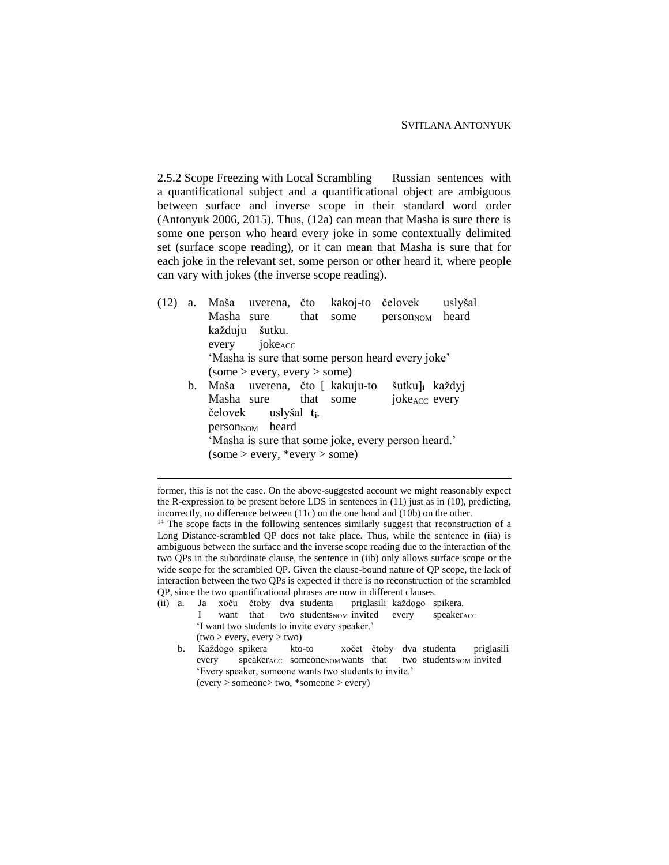2.5.2 Scope Freezing with Local Scrambling Russian sentences with a quantificational subject and a quantificational object are ambiguous between surface and inverse scope in their standard word order (Antonyuk 2006, 2015). Thus, (12a) can mean that Masha is sure there is some one person who heard every joke in some contextually delimited set (surface scope reading), or it can mean that Masha is sure that for each joke in the relevant set, some person or other heard it, where people can vary with jokes (the inverse scope reading).

- (12) a. Maša uverena, čto kakoj-to čelovek uslyšal Masha sure that some person<sub>NOM</sub> heard každuju šutku.  $e^{i\theta}$  joke $A_{\text{CC}}$ 'Masha is sure that some person heard every joke'  $(some > every, every > some)$ b. Maša uverena, čto [ kakuju-to šutku]**<sup>i</sup>** každyj Masha sure that some joke<sub>ACC</sub> every čelovek uslyšal **ti**. person<sub>NOM</sub> heard 'Masha is sure that some joke, every person heard.'
	- $(some > every, *every > some)$

- (ii) a. Ja xoču čtoby dva studenta priglasili každogo spikera. I want that two students<sub>NOM</sub> invited every speaker<sub>ACC</sub> 'I want two students to invite every speaker.'  $(two > every, every > two)$ 
	- b. Každogo spikera kto-to xočet čtoby dva studenta priglasili every speakerACC someoneNOM wants that two studentsNOM invited 'Every speaker, someone wants two students to invite.' (every > someone> two, \*someone > every)

former, this is not the case. On the above-suggested account we might reasonably expect the R-expression to be present before LDS in sentences in (11) just as in (10), predicting, incorrectly, no difference between (11c) on the one hand and (10b) on the other.

<sup>&</sup>lt;sup>14</sup> The scope facts in the following sentences similarly suggest that reconstruction of a Long Distance-scrambled QP does not take place. Thus, while the sentence in (iia) is ambiguous between the surface and the inverse scope reading due to the interaction of the two QPs in the subordinate clause, the sentence in (iib) only allows surface scope or the wide scope for the scrambled QP. Given the clause-bound nature of QP scope, the lack of interaction between the two QPs is expected if there is no reconstruction of the scrambled QP, since the two quantificational phrases are now in different clauses.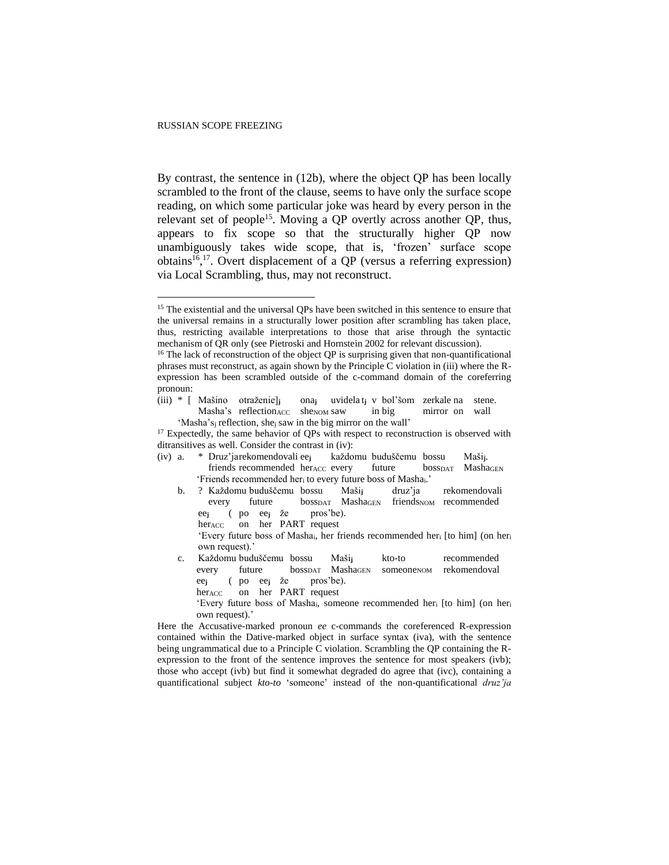By contrast, the sentence in (12b), where the object QP has been locally scrambled to the front of the clause, seems to have only the surface scope reading, on which some particular joke was heard by every person in the relevant set of people<sup>15</sup>. Moving a QP overtly across another QP, thus, appears to fix scope so that the structurally higher QP now unambiguously takes wide scope, that is, 'frozen' surface scope obtains<sup>16,17</sup>. Overt displacement of a QP (versus a referring expression) via Local Scrambling, thus, may not reconstruct.

(iii) \* [ Mašino otraženie]**<sup>j</sup>** ona**<sup>j</sup>** uvidela t**<sup>j</sup>** v bol'šom zerkale na stene. Masha's reflection ACC shenom saw in big mirror on wall 'Masha's<sup>j</sup> reflection, she<sup>j</sup> saw in the big mirror on the wall'

- (iv) a. \* Druz'jarekomendovali ee**<sup>j</sup>** každomu buduščemu bossu Maši**j**. friends recommended herACC every future bossDAT MashaGEN 'Friends recommended her<sub>i</sub> to every future boss of Masha<sub>i</sub>.'
	- b. ? Každomu buduščemu bossu Maši**<sup>j</sup>** druz'ja rekomendovali every future bosspar Mashagen friendsnow recommended ee**<sup>j</sup>** ( po ee**<sup>j</sup>** že pros'be).
		- her<sub>ACC</sub> on her PART request

'Every future boss of Mashai, her friends recommended her<sup>i</sup> [to him] (on her<sup>i</sup> own request).'

- c. Každomu buduščemu bossu Maši**<sup>j</sup>** kto-to recommended every future boss<sub>DAT</sub> Masha<sub>GEN</sub> someone<sub>NOM</sub> rekomendoval ee**<sup>j</sup>** ( po ee**<sup>j</sup>** že pros'be).
	- her<sub>ACC</sub> on her PART request
	- 'Every future boss of Mashai, someone recommended her<sup>i</sup> [to him] (on her<sup>i</sup> own request).'

Here the Accusative-marked pronoun *ee* c-commands the coreferenced R-expression contained within the Dative-marked object in surface syntax (iva), with the sentence being ungrammatical due to a Principle C violation. Scrambling the QP containing the Rexpression to the front of the sentence improves the sentence for most speakers (ivb); those who accept (ivb) but find it somewhat degraded do agree that (ivc), containing a quantificational subject *kto-to* 'someone' instead of the non-quantificational *druz'ja*

<sup>&</sup>lt;sup>15</sup> The existential and the universal QPs have been switched in this sentence to ensure that the universal remains in a structurally lower position after scrambling has taken place, thus, restricting available interpretations to those that arise through the syntactic mechanism of QR only (see Pietroski and Hornstein 2002 for relevant discussion).

<sup>&</sup>lt;sup>16</sup> The lack of reconstruction of the object QP is surprising given that non-quantificational phrases must reconstruct, as again shown by the Principle C violation in (iii) where the Rexpression has been scrambled outside of the c-command domain of the coreferring pronoun:

<sup>&</sup>lt;sup>17</sup> Expectedly, the same behavior of QPs with respect to reconstruction is observed with ditransitives as well. Consider the contrast in (iv):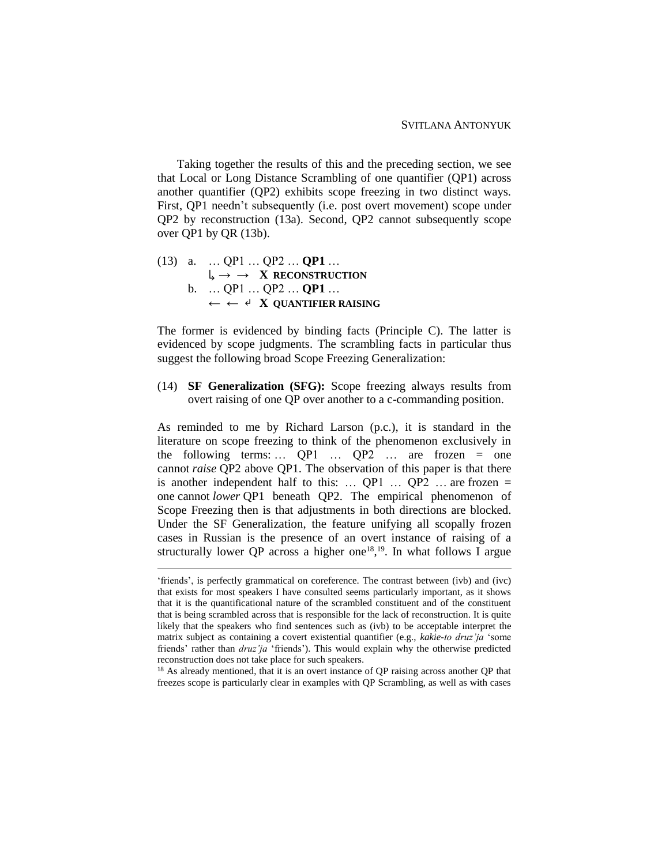Taking together the results of this and the preceding section, we see that Local or Long Distance Scrambling of one quantifier (QP1) across another quantifier (QP2) exhibits scope freezing in two distinct ways. First, QP1 needn't subsequently (i.e. post overt movement) scope under QP2 by reconstruction (13a). Second, QP2 cannot subsequently scope over QP1 by QR (13b).

(13) a. … QP1 … QP2 … **QP1** …  $\downarrow \rightarrow \rightarrow X$ **RECONSTRUCTION** b. … QP1 … QP2 … **QP1** … ← ← ↵ **X QUANTIFIER RAISING**

 $\overline{a}$ 

The former is evidenced by binding facts (Principle C). The latter is evidenced by scope judgments. The scrambling facts in particular thus suggest the following broad Scope Freezing Generalization:

(14) **SF Generalization (SFG):** Scope freezing always results from overt raising of one QP over another to a c-commanding position.

As reminded to me by Richard Larson (p.c.), it is standard in the literature on scope freezing to think of the phenomenon exclusively in the following terms: … QP1 … QP2 … are frozen = one cannot *raise* QP2 above QP1. The observation of this paper is that there is another independent half to this: ...  $QP1$  ...  $QP2$  ... are frozen = one cannot *lower* QP1 beneath QP2. The empirical phenomenon of Scope Freezing then is that adjustments in both directions are blocked. Under the SF Generalization, the feature unifying all scopally frozen cases in Russian is the presence of an overt instance of raising of a structurally lower QP across a higher one<sup>18,19</sup>. In what follows I argue

<sup>18</sup> As already mentioned, that it is an overt instance of QP raising across another QP that freezes scope is particularly clear in examples with QP Scrambling, as well as with cases

<sup>&#</sup>x27;friends', is perfectly grammatical on coreference. The contrast between (ivb) and (ivc) that exists for most speakers I have consulted seems particularly important, as it shows that it is the quantificational nature of the scrambled constituent and of the constituent that is being scrambled across that is responsible for the lack of reconstruction. It is quite likely that the speakers who find sentences such as (ivb) to be acceptable interpret the matrix subject as containing a covert existential quantifier (e.g., *kakie-to druz'ja* 'some friends' rather than *druz'ja* 'friends'). This would explain why the otherwise predicted reconstruction does not take place for such speakers.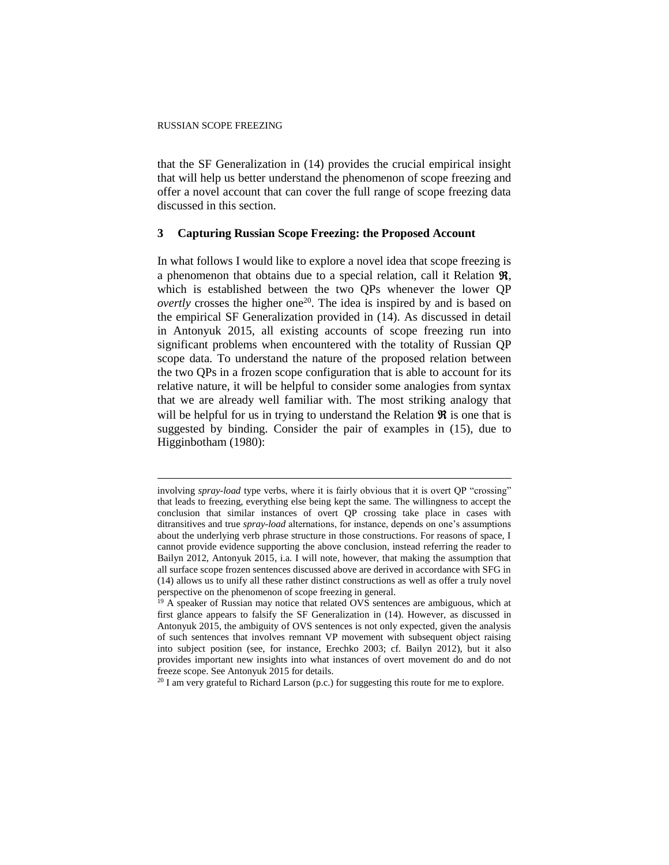that the SF Generalization in (14) provides the crucial empirical insight that will help us better understand the phenomenon of scope freezing and offer a novel account that can cover the full range of scope freezing data discussed in this section.

### **3 Capturing Russian Scope Freezing: the Proposed Account**

In what follows I would like to explore a novel idea that scope freezing is a phenomenon that obtains due to a special relation, call it Relation  $\Re$ , which is established between the two QPs whenever the lower QP *overtly* crosses the higher one<sup>20</sup>. The idea is inspired by and is based on the empirical SF Generalization provided in (14). As discussed in detail in Antonyuk 2015, all existing accounts of scope freezing run into significant problems when encountered with the totality of Russian QP scope data. To understand the nature of the proposed relation between the two QPs in a frozen scope configuration that is able to account for its relative nature, it will be helpful to consider some analogies from syntax that we are already well familiar with. The most striking analogy that will be helpful for us in trying to understand the Relation  $\Re$  is one that is suggested by binding. Consider the pair of examples in (15), due to Higginbotham (1980):

 $20$  I am very grateful to Richard Larson (p.c.) for suggesting this route for me to explore.

involving *spray-load* type verbs, where it is fairly obvious that it is overt QP "crossing" that leads to freezing, everything else being kept the same. The willingness to accept the conclusion that similar instances of overt QP crossing take place in cases with ditransitives and true *spray-load* alternations, for instance, depends on one's assumptions about the underlying verb phrase structure in those constructions. For reasons of space, I cannot provide evidence supporting the above conclusion, instead referring the reader to Bailyn 2012, Antonyuk 2015, i.a. I will note, however, that making the assumption that all surface scope frozen sentences discussed above are derived in accordance with SFG in (14) allows us to unify all these rather distinct constructions as well as offer a truly novel perspective on the phenomenon of scope freezing in general.

 $19$  A speaker of Russian may notice that related OVS sentences are ambiguous, which at first glance appears to falsify the SF Generalization in (14). However, as discussed in Antonyuk 2015, the ambiguity of OVS sentences is not only expected, given the analysis of such sentences that involves remnant VP movement with subsequent object raising into subject position (see, for instance, Erechko 2003; cf. Bailyn 2012), but it also provides important new insights into what instances of overt movement do and do not freeze scope. See Antonyuk 2015 for details.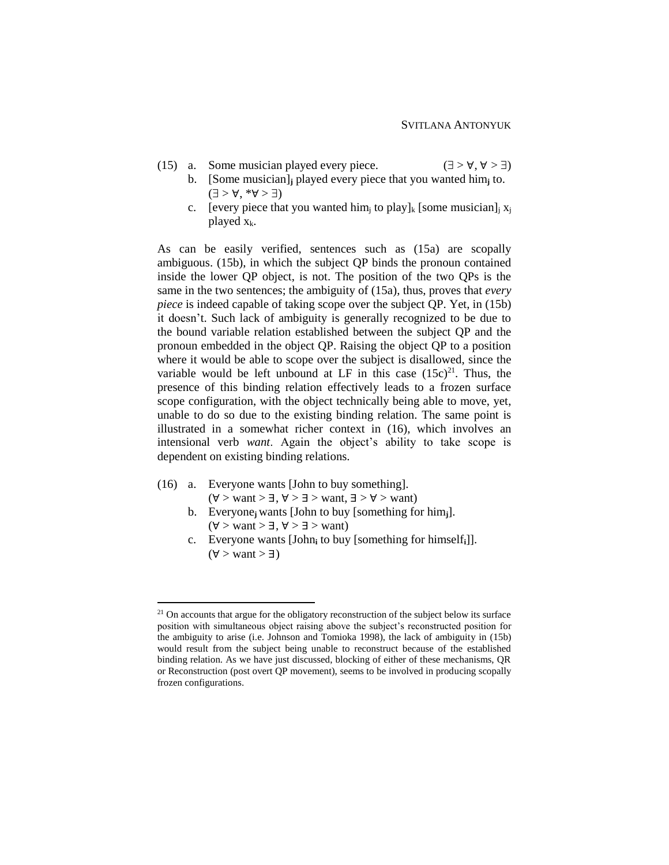- (15) a. Some musician played every piece.  $(\exists > \forall, \forall > \exists)$ 
	- b. [Some musician]**<sup>j</sup>** played every piece that you wanted him**<sup>j</sup>** to.  $(\exists > \forall, *\forall > \exists)$
	- c. [every piece that you wanted him<sub>i</sub> to play]<sub>k</sub> [some musician]<sub>i</sub>  $x_i$ played  $x_k$ .

As can be easily verified, sentences such as (15a) are scopally ambiguous. (15b), in which the subject QP binds the pronoun contained inside the lower QP object, is not. The position of the two QPs is the same in the two sentences; the ambiguity of (15a), thus, proves that *every piece* is indeed capable of taking scope over the subject QP. Yet, in (15b) it doesn't. Such lack of ambiguity is generally recognized to be due to the bound variable relation established between the subject QP and the pronoun embedded in the object QP. Raising the object QP to a position where it would be able to scope over the subject is disallowed, since the variable would be left unbound at LF in this case  $(15c)^{21}$ . Thus, the presence of this binding relation effectively leads to a frozen surface scope configuration, with the object technically being able to move, yet, unable to do so due to the existing binding relation. The same point is illustrated in a somewhat richer context in (16), which involves an intensional verb *want*. Again the object's ability to take scope is dependent on existing binding relations.

(16) a. Everyone wants [John to buy something].

- $(\forall$  > want >  $\exists$ ,  $\forall$  >  $\exists$  > want,  $\exists$  >  $\forall$  > want)
- b. Everyone**j** wants [John to buy [something for him**j**].  $(\forall$  > want >  $\exists$ ,  $\forall$  >  $\exists$  > want)
- c. Everyone wants [John**<sup>i</sup>** to buy [something for himself**i**]].  $(\forall$  > want >  $\exists$ )

 $21$  On accounts that argue for the obligatory reconstruction of the subject below its surface position with simultaneous object raising above the subject's reconstructed position for the ambiguity to arise (i.e. Johnson and Tomioka 1998), the lack of ambiguity in (15b) would result from the subject being unable to reconstruct because of the established binding relation. As we have just discussed, blocking of either of these mechanisms, QR or Reconstruction (post overt QP movement), seems to be involved in producing scopally frozen configurations.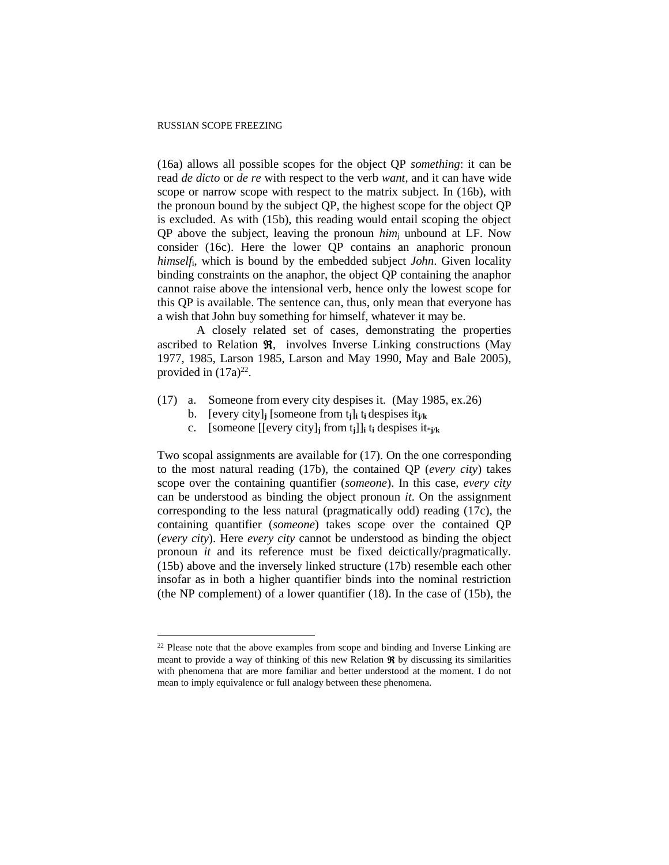(16a) allows all possible scopes for the object QP *something*: it can be read *de dicto* or *de re* with respect to the verb *want*, and it can have wide scope or narrow scope with respect to the matrix subject. In (16b), with the pronoun bound by the subject QP, the highest scope for the object QP is excluded. As with (15b), this reading would entail scoping the object QP above the subject, leaving the pronoun *him*<sup>j</sup> unbound at LF. Now consider (16c). Here the lower QP contains an anaphoric pronoun *himself*i, which is bound by the embedded subject *John*. Given locality binding constraints on the anaphor, the object QP containing the anaphor cannot raise above the intensional verb, hence only the lowest scope for this QP is available. The sentence can, thus, only mean that everyone has a wish that John buy something for himself, whatever it may be.

A closely related set of cases, demonstrating the properties ascribed to Relation  $\Re$ , involves Inverse Linking constructions (May 1977, 1985, Larson 1985, Larson and May 1990, May and Bale 2005), provided in  $(17a)^{22}$ .

- (17) a. Someone from every city despises it. (May 1985, ex.26)
	- b. [every city]**j** [someone from  $t_i$ ]**j**  $t_i$  despises  $it_{i/k}$
	- c. [someone  $[[every city]$ **i** from  $t_i$ ]]**i**  $t_i$  despises  $it*_{i/k}$

Two scopal assignments are available for (17). On the one corresponding to the most natural reading (17b), the contained QP (*every city*) takes scope over the containing quantifier (*someone*). In this case, *every city* can be understood as binding the object pronoun *it*. On the assignment corresponding to the less natural (pragmatically odd) reading (17c), the containing quantifier (*someone*) takes scope over the contained QP (*every city*). Here *every city* cannot be understood as binding the object pronoun *it* and its reference must be fixed deictically/pragmatically. (15b) above and the inversely linked structure (17b) resemble each other insofar as in both a higher quantifier binds into the nominal restriction (the NP complement) of a lower quantifier (18). In the case of (15b), the

<sup>&</sup>lt;sup>22</sup> Please note that the above examples from scope and binding and Inverse Linking are meant to provide a way of thinking of this new Relation  $\Re$  by discussing its similarities with phenomena that are more familiar and better understood at the moment. I do not mean to imply equivalence or full analogy between these phenomena.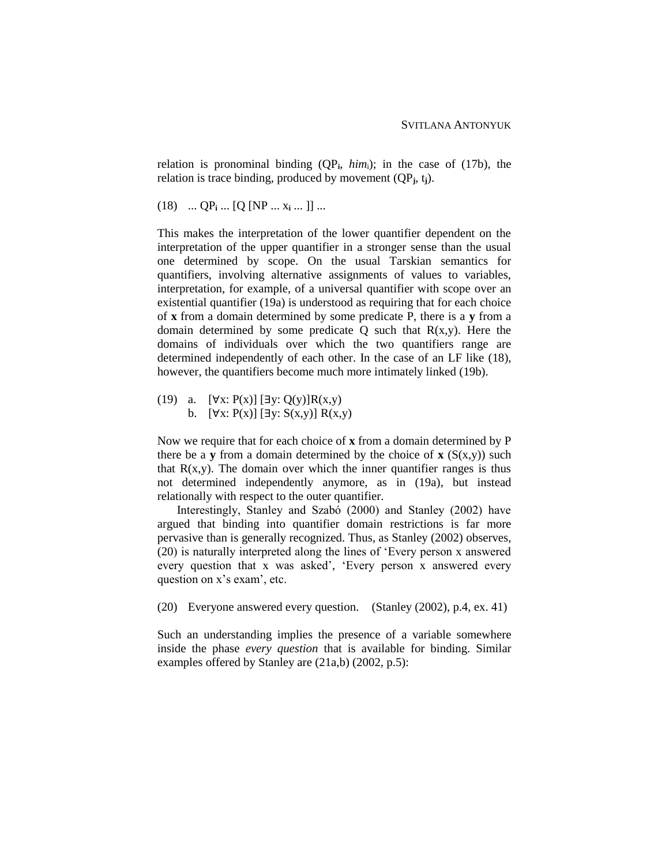relation is pronominal binding (QP**i**, *him*i); in the case of (17b), the relation is trace binding, produced by movement (QP**j**, t**j**).

 $(18)$  ...  $QP_i$  ...  $[Q[NP...x_i...]]...$ 

This makes the interpretation of the lower quantifier dependent on the interpretation of the upper quantifier in a stronger sense than the usual one determined by scope. On the usual Tarskian semantics for quantifiers, involving alternative assignments of values to variables, interpretation, for example, of a universal quantifier with scope over an existential quantifier (19a) is understood as requiring that for each choice of **x** from a domain determined by some predicate P, there is a **y** from a domain determined by some predicate  $Q$  such that  $R(x,y)$ . Here the domains of individuals over which the two quantifiers range are determined independently of each other. In the case of an LF like (18), however, the quantifiers become much more intimately linked (19b).

(19) a.  $[\forall x: P(x)] [\exists y: Q(y)] R(x,y)$ b.  $[∀x: P(x)] [∃y: S(x,y)] R(x,y)$ 

Now we require that for each choice of **x** from a domain determined by P there be a **y** from a domain determined by the choice of **x** ( $S(x,y)$ ) such that  $R(x,y)$ . The domain over which the inner quantifier ranges is thus not determined independently anymore, as in (19a), but instead relationally with respect to the outer quantifier.

Interestingly, Stanley and Szabó (2000) and Stanley (2002) have argued that binding into quantifier domain restrictions is far more pervasive than is generally recognized. Thus, as Stanley (2002) observes, (20) is naturally interpreted along the lines of 'Every person x answered every question that x was asked', 'Every person x answered every question on x's exam', etc.

(20) Everyone answered every question. (Stanley (2002), p.4, ex. 41)

Such an understanding implies the presence of a variable somewhere inside the phase *every question* that is available for binding. Similar examples offered by Stanley are (21a,b) (2002, p.5):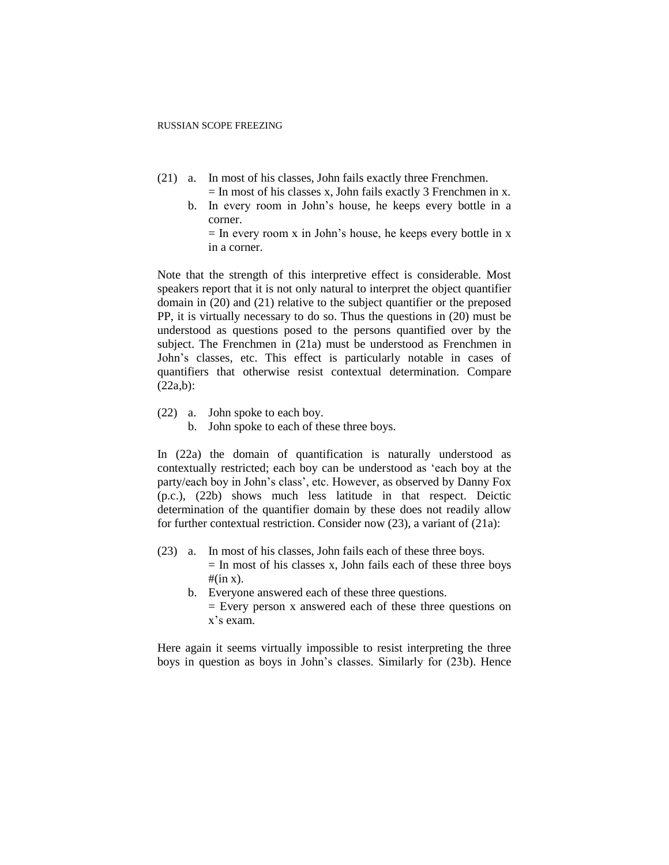- (21) a. In most of his classes, John fails exactly three Frenchmen.
	- $=$  In most of his classes x, John fails exactly 3 Frenchmen in x.
	- b. In every room in John's house, he keeps every bottle in a corner.

 $=$  In every room x in John's house, he keeps every bottle in x in a corner.

Note that the strength of this interpretive effect is considerable. Most speakers report that it is not only natural to interpret the object quantifier domain in (20) and (21) relative to the subject quantifier or the preposed PP, it is virtually necessary to do so. Thus the questions in (20) must be understood as questions posed to the persons quantified over by the subject. The Frenchmen in (21a) must be understood as Frenchmen in John's classes, etc. This effect is particularly notable in cases of quantifiers that otherwise resist contextual determination. Compare (22a,b):

- (22) a. John spoke to each boy.
	- b. John spoke to each of these three boys.

In (22a) the domain of quantification is naturally understood as contextually restricted; each boy can be understood as 'each boy at the party/each boy in John's class', etc. However, as observed by Danny Fox (p.c.), (22b) shows much less latitude in that respect. Deictic determination of the quantifier domain by these does not readily allow for further contextual restriction. Consider now (23), a variant of (21a):

- (23) a. In most of his classes, John fails each of these three boys.  $=$  In most of his classes x, John fails each of these three boys  $#(\text{in } x)$ .
	- b. Everyone answered each of these three questions.
		- = Every person x answered each of these three questions on x's exam.

Here again it seems virtually impossible to resist interpreting the three boys in question as boys in John's classes. Similarly for (23b). Hence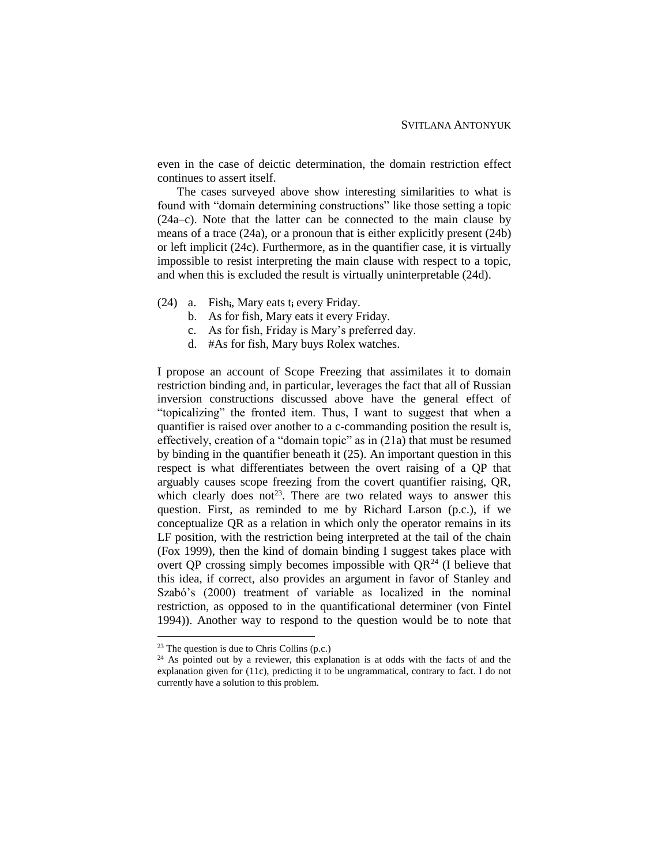even in the case of deictic determination, the domain restriction effect continues to assert itself.

The cases surveyed above show interesting similarities to what is found with "domain determining constructions" like those setting a topic (24a–c). Note that the latter can be connected to the main clause by means of a trace (24a), or a pronoun that is either explicitly present (24b) or left implicit (24c). Furthermore, as in the quantifier case, it is virtually impossible to resist interpreting the main clause with respect to a topic, and when this is excluded the result is virtually uninterpretable (24d).

- (24) a. Fish**i**, Mary eats t**<sup>i</sup>** every Friday.
	- b. As for fish, Mary eats it every Friday.
	- c. As for fish, Friday is Mary's preferred day.
	- d. #As for fish, Mary buys Rolex watches.

I propose an account of Scope Freezing that assimilates it to domain restriction binding and, in particular, leverages the fact that all of Russian inversion constructions discussed above have the general effect of "topicalizing" the fronted item. Thus, I want to suggest that when a quantifier is raised over another to a c-commanding position the result is, effectively, creation of a "domain topic" as in (21a) that must be resumed by binding in the quantifier beneath it (25). An important question in this respect is what differentiates between the overt raising of a QP that arguably causes scope freezing from the covert quantifier raising, QR, which clearly does not<sup>23</sup>. There are two related ways to answer this question. First, as reminded to me by Richard Larson (p.c.), if we conceptualize QR as a relation in which only the operator remains in its LF position, with the restriction being interpreted at the tail of the chain (Fox 1999), then the kind of domain binding I suggest takes place with overt QP crossing simply becomes impossible with  $QR<sup>24</sup>$  (I believe that this idea, if correct, also provides an argument in favor of Stanley and Szabó's (2000) treatment of variable as localized in the nominal restriction, as opposed to in the quantificational determiner (von Fintel 1994)). Another way to respond to the question would be to note that

 $23$  The question is due to Chris Collins (p.c.)

<sup>&</sup>lt;sup>24</sup> As pointed out by a reviewer, this explanation is at odds with the facts of and the explanation given for (11c), predicting it to be ungrammatical, contrary to fact. I do not currently have a solution to this problem.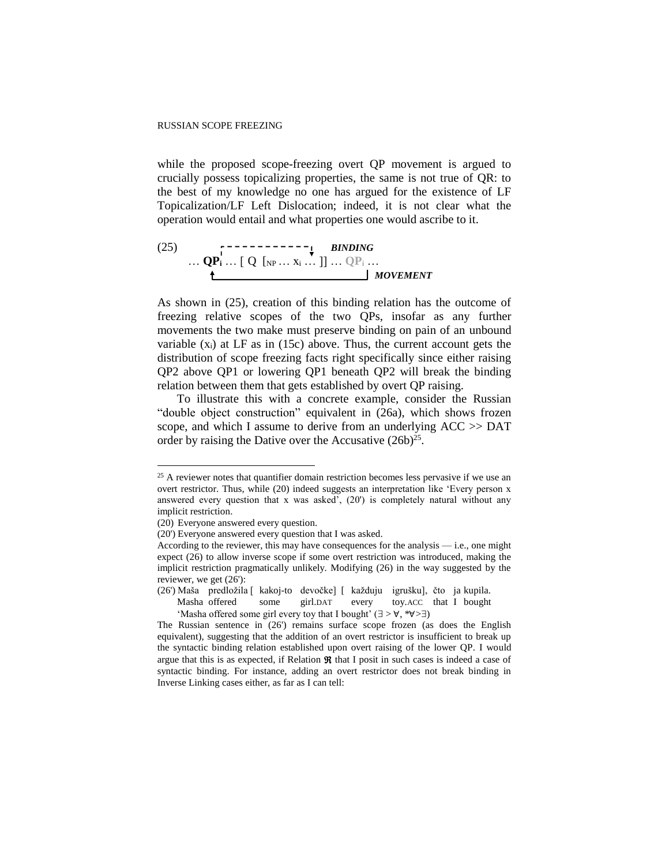while the proposed scope-freezing overt QP movement is argued to crucially possess topicalizing properties, the same is not true of QR: to the best of my knowledge no one has argued for the existence of LF Topicalization/LF Left Dislocation; indeed, it is not clear what the operation would entail and what properties one would ascribe to it.

(25) 
$$
\mathbf{QP_i} \dots \mathbf{QP_i} \dots [Q \text{ [NP} \dots \text{X_i} \dots]] \dots \mathbf{QP_i} \dots
$$
  
 
$$
\downarrow \text{MOVEMENT}
$$

As shown in (25), creation of this binding relation has the outcome of freezing relative scopes of the two QPs, insofar as any further movements the two make must preserve binding on pain of an unbound variable  $(x_i)$  at LF as in (15c) above. Thus, the current account gets the distribution of scope freezing facts right specifically since either raising QP2 above QP1 or lowering QP1 beneath QP2 will break the binding relation between them that gets established by overt QP raising.

To illustrate this with a concrete example, consider the Russian "double object construction" equivalent in (26a), which shows frozen scope, and which I assume to derive from an underlying ACC >> DAT order by raising the Dative over the Accusative  $(26b)^{25}$ .

 $\overline{a}$ 

(26') Maša predložila [ kakoj-to devočke] [ každuju igrušku], čto ja kupila.

<sup>&</sup>lt;sup>25</sup> A reviewer notes that quantifier domain restriction becomes less pervasive if we use an overt restrictor. Thus, while (20) indeed suggests an interpretation like 'Every person x answered every question that x was asked', (20') is completely natural without any implicit restriction.

<sup>(20)</sup> Everyone answered every question.

<sup>(20&#</sup>x27;) Everyone answered every question that I was asked.

According to the reviewer, this may have consequences for the analysis — i.e., one might expect (26) to allow inverse scope if some overt restriction was introduced, making the implicit restriction pragmatically unlikely. Modifying (26) in the way suggested by the reviewer, we get (26'):

Masha offered some girl.DAT every toy.ACC that I bought 'Masha offered some girl every toy that I bought'  $(\exists > \forall, *\forall > \exists)$ 

The Russian sentence in (26') remains surface scope frozen (as does the English equivalent), suggesting that the addition of an overt restrictor is insufficient to break up the syntactic binding relation established upon overt raising of the lower QP. I would argue that this is as expected, if Relation  $\Re$  that I posit in such cases is indeed a case of syntactic binding. For instance, adding an overt restrictor does not break binding in Inverse Linking cases either, as far as I can tell: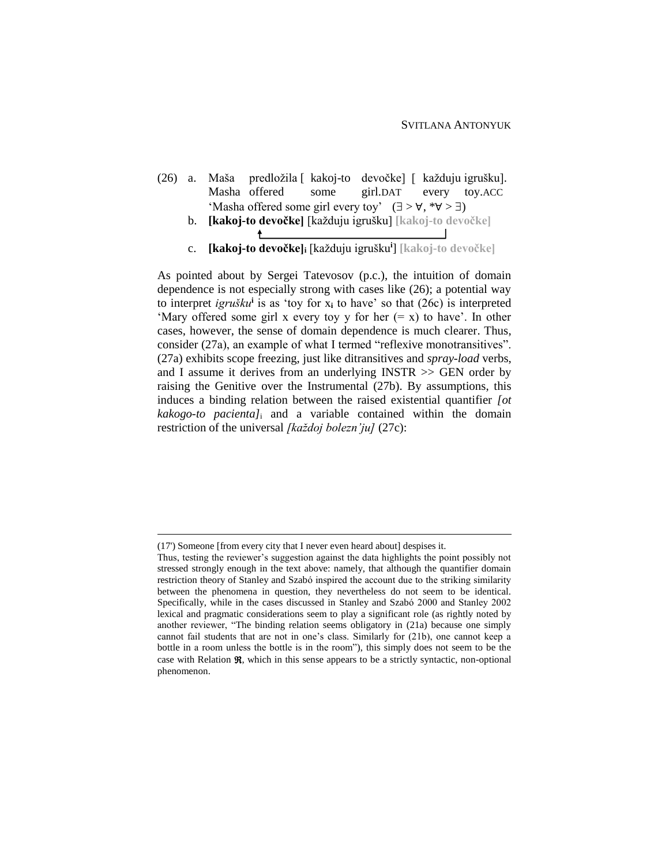- (26) a. Maša predložila [ kakoj-to devočke] [ každuju igrušku]. Masha offered some girl.DAT every toy.ACC 'Masha offered some girl every toy'  $(\exists > \forall, * \forall > \exists)$ 
	- b. **[kakoj-to devočke]** [každuju igrušku] **[kakoj-to devočke]** ↟
	- c. **[kakoj-to devočke]<sup>i</sup>** [každuju igrušku**<sup>i</sup>** ] **[kakoj-to devočke]**

As pointed about by Sergei Tatevosov (p.c.), the intuition of domain dependence is not especially strong with cases like (26); a potential way to interpret *igrušku***<sup>i</sup>** is as 'toy for x**<sup>i</sup>** to have' so that (26c) is interpreted 'Mary offered some girl x every toy y for her  $(= x)$  to have'. In other cases, however, the sense of domain dependence is much clearer. Thus, consider (27a), an example of what I termed "reflexive monotransitives". (27a) exhibits scope freezing, just like ditransitives and *spray-load* verbs, and I assume it derives from an underlying INSTR >> GEN order by raising the Genitive over the Instrumental (27b). By assumptions, this induces a binding relation between the raised existential quantifier *[ot kakogo-to pacienta]*<sup>i</sup> and a variable contained within the domain restriction of the universal *[každoj bolezn'ju]* (27c):

<sup>(17&#</sup>x27;) Someone [from every city that I never even heard about] despises it.

Thus, testing the reviewer's suggestion against the data highlights the point possibly not stressed strongly enough in the text above: namely, that although the quantifier domain restriction theory of Stanley and Szabó inspired the account due to the striking similarity between the phenomena in question, they nevertheless do not seem to be identical. Specifically, while in the cases discussed in Stanley and Szabó 2000 and Stanley 2002 lexical and pragmatic considerations seem to play a significant role (as rightly noted by another reviewer, "The binding relation seems obligatory in (21a) because one simply cannot fail students that are not in one's class. Similarly for (21b), one cannot keep a bottle in a room unless the bottle is in the room"), this simply does not seem to be the case with Relation  $\Re$ , which in this sense appears to be a strictly syntactic, non-optional phenomenon.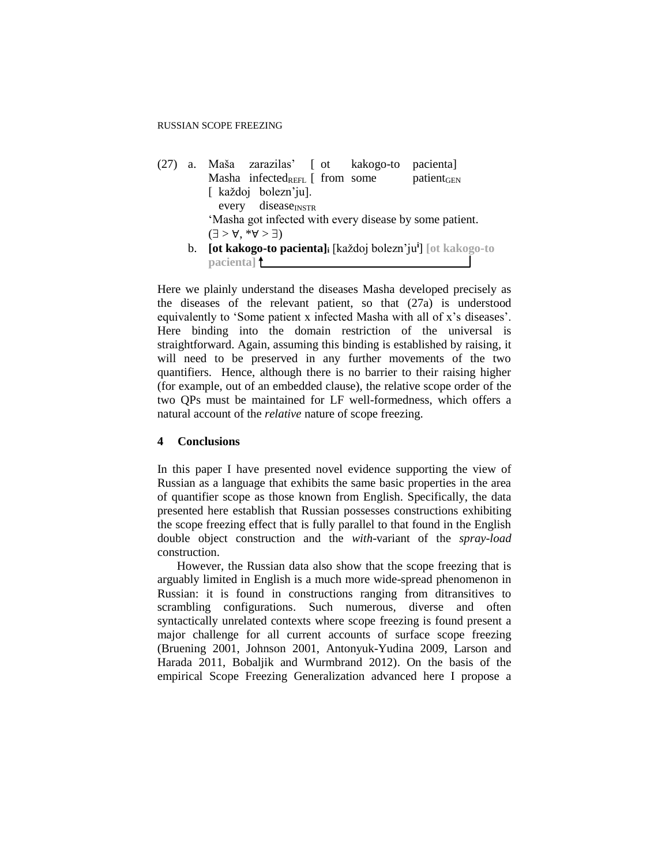(27) a. Maša zarazilas' [ ot kakogo-to pacienta] Masha infected $_{\text{REFL}}$  from some patient<sub>GEN</sub> [ každoj bolezn'ju]. every disease<sub>INSTR</sub> 'Masha got infected with every disease by some patient.  $(\exists > \forall, * \forall > \exists)$ b. **[ot kakogo-to pacienta]<sup>i</sup>** [každoj bolezn'ju**<sup>i</sup>** ] **[ot kakogo-to** 

**pacienta]**

Here we plainly understand the diseases Masha developed precisely as the diseases of the relevant patient, so that (27a) is understood equivalently to 'Some patient x infected Masha with all of x's diseases'. Here binding into the domain restriction of the universal is straightforward. Again, assuming this binding is established by raising, it will need to be preserved in any further movements of the two quantifiers. Hence, although there is no barrier to their raising higher (for example, out of an embedded clause), the relative scope order of the two QPs must be maintained for LF well-formedness, which offers a natural account of the *relative* nature of scope freezing.

### **4 Conclusions**

In this paper I have presented novel evidence supporting the view of Russian as a language that exhibits the same basic properties in the area of quantifier scope as those known from English. Specifically, the data presented here establish that Russian possesses constructions exhibiting the scope freezing effect that is fully parallel to that found in the English double object construction and the *with*-variant of the *spray-load* construction.

However, the Russian data also show that the scope freezing that is arguably limited in English is a much more wide-spread phenomenon in Russian: it is found in constructions ranging from ditransitives to scrambling configurations. Such numerous, diverse and often syntactically unrelated contexts where scope freezing is found present a major challenge for all current accounts of surface scope freezing (Bruening 2001, Johnson 2001, Antonyuk-Yudina 2009, Larson and Harada 2011, Bobaljik and Wurmbrand 2012). On the basis of the empirical Scope Freezing Generalization advanced here I propose a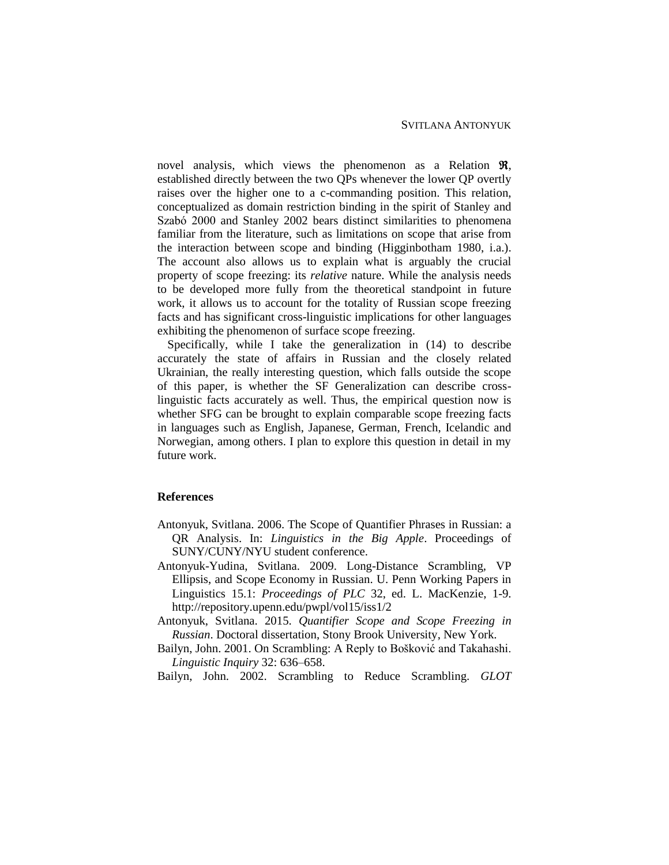novel analysis, which views the phenomenon as a Relation  $\mathfrak{R}$ , established directly between the two QPs whenever the lower QP overtly raises over the higher one to a c-commanding position. This relation, conceptualized as domain restriction binding in the spirit of Stanley and Szabó 2000 and Stanley 2002 bears distinct similarities to phenomena familiar from the literature, such as limitations on scope that arise from the interaction between scope and binding (Higginbotham 1980, i.a.). The account also allows us to explain what is arguably the crucial property of scope freezing: its *relative* nature. While the analysis needs to be developed more fully from the theoretical standpoint in future work, it allows us to account for the totality of Russian scope freezing facts and has significant cross-linguistic implications for other languages exhibiting the phenomenon of surface scope freezing.

Specifically, while I take the generalization in (14) to describe accurately the state of affairs in Russian and the closely related Ukrainian, the really interesting question, which falls outside the scope of this paper, is whether the SF Generalization can describe crosslinguistic facts accurately as well. Thus, the empirical question now is whether SFG can be brought to explain comparable scope freezing facts in languages such as English, Japanese, German, French, Icelandic and Norwegian, among others. I plan to explore this question in detail in my future work.

## **References**

- Antonyuk, Svitlana. 2006. The Scope of Quantifier Phrases in Russian: a QR Analysis. In: *Linguistics in the Big Apple*. Proceedings of SUNY/CUNY/NYU student conference.
- Antonyuk-Yudina, Svitlana. 2009. Long-Distance Scrambling, VP Ellipsis, and Scope Economy in Russian. U. Penn Working Papers in Linguistics 15.1: *Proceedings of PLC* 32, ed. L. MacKenzie, 1-9. http://repository.upenn.edu/pwpl/vol15/iss1/2
- Antonyuk, Svitlana. 2015. *Quantifier Scope and Scope Freezing in Russian*. Doctoral dissertation, Stony Brook University, New York.
- Bailyn, John. 2001. On Scrambling: A Reply to Bošković and Takahashi. *Linguistic Inquiry* 32: 636–658.

Bailyn, John. 2002. Scrambling to Reduce Scrambling. *GLOT*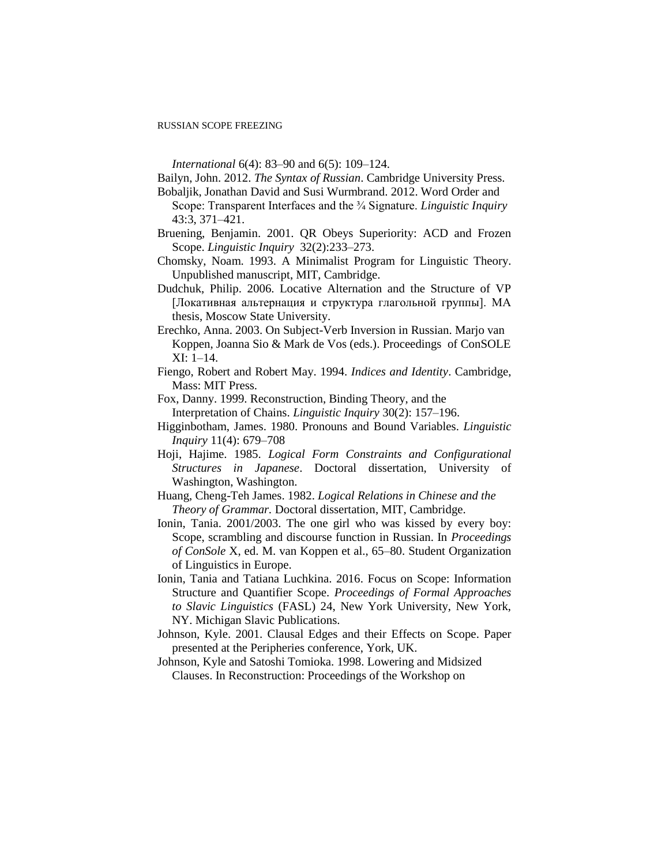#### RUSSIAN SCOPE FREEZING

*International* 6(4): 83–90 and 6(5): 109–124.

Bailyn, John. 2012. *The Syntax of Russian*. Cambridge University Press. Bobaljik, Jonathan David and Susi Wurmbrand. 2012. Word Order and

Scope: Transparent Interfaces and the ¾ Signature. *Linguistic Inquiry* 43:3, 371–421.

- Bruening, Benjamin. 2001. QR Obeys Superiority: ACD and Frozen Scope. *Linguistic Inquiry* 32(2):233–273.
- Chomsky, Noam. 1993. A Minimalist Program for Linguistic Theory. Unpublished manuscript, MIT, Cambridge.

Dudchuk, Philip. 2006. Locative Alternation and the Structure of VP [Локативная альтернация и структура глагольной группы]. MA thesis, Moscow State University.

Erechko, Anna. 2003. On Subject-Verb Inversion in Russian. Marjo van Koppen, Joanna Sio & Mark de Vos (eds.). Proceedings of ConSOLE XI: 1–14.

- Fiengo, Robert and Robert May. 1994. *Indices and Identity*. Cambridge, Mass: MIT Press.
- Fox, Danny. 1999. Reconstruction, Binding Theory, and the Interpretation of Chains. *Linguistic Inquiry* 30(2): 157–196.
- Higginbotham, James. 1980. Pronouns and Bound Variables. *Linguistic Inquiry* 11(4): 679–708
- Hoji, Hajime. 1985. *Logical Form Constraints and Configurational Structures in Japanese*. Doctoral dissertation, University of Washington, Washington.
- Huang, Cheng-Teh James. 1982. *Logical Relations in Chinese and the Theory of Grammar.* Doctoral dissertation, MIT, Cambridge.
- Ionin, Tania. 2001/2003. The one girl who was kissed by every boy: Scope, scrambling and discourse function in Russian. In *Proceedings of ConSole* X, ed. M. van Koppen et al., 65–80. Student Organization of Linguistics in Europe.
- Ionin, Tania and Tatiana Luchkina. 2016. Focus on Scope: Information Structure and Quantifier Scope. *Proceedings of Formal Approaches to Slavic Linguistics* (FASL) 24, New York University, New York, NY. Michigan Slavic Publications.
- Johnson, Kyle. 2001. [Clausal Edges and their Effects on Scope.](http://people.umass.edu/kbj/homepage/Content/peripheries.pdf) Paper presented at the Peripheries conference, York, UK.
- Johnson, Kyle and Satoshi Tomioka. 1998. Lowering and Midsized Clauses. In Reconstruction: Proceedings of the Workshop on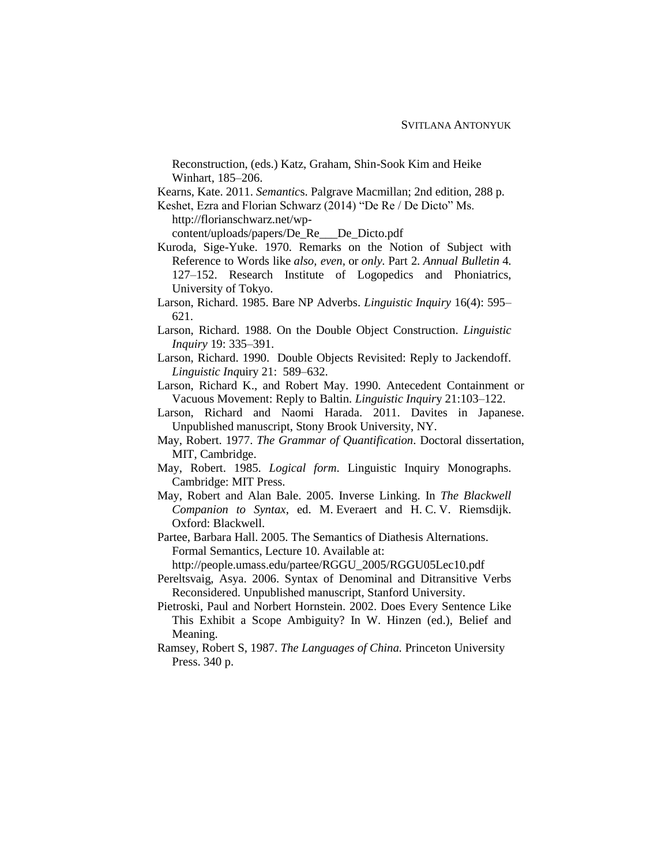Reconstruction, (eds.) Katz, Graham, Shin-Sook Kim and Heike Winhart, 185–206.

Kearns, Kate. 2011. *Semantic*s. Palgrave Macmillan; 2nd edition, 288 p.

Keshet, Ezra and Florian Schwarz (2014) "De Re / De Dicto" Ms.

http://florianschwarz.net/wp-

content/uploads/papers/De\_Re\_\_\_De\_Dicto.pdf

- Kuroda, Sige-Yuke. 1970. Remarks on the Notion of Subject with Reference to Words like *also, even,* or *only.* Part 2. *Annual Bulletin* 4. 127–152. Research Institute of Logopedics and Phoniatrics, University of Tokyo.
- Larson, Richard. 1985. Bare NP Adverbs. *Linguistic Inquiry* 16(4): 595– 621.
- Larson, Richard. 1988. On the Double Object Construction. *Linguistic Inquiry* 19: 335–391.
- Larson, Richard. 1990. Double Objects Revisited: Reply to Jackendoff. *Linguistic Inq*uiry 21: 589–632.
- Larson, Richard K., and Robert May. 1990. Antecedent Containment or Vacuous Movement: Reply to Baltin. *Linguistic Inquir*y 21:103–122.
- Larson, Richard and Naomi Harada. 2011. Davites in Japanese. Unpublished manuscript, Stony Brook University, NY.
- May, Robert. 1977. *The Grammar of Quantification*. Doctoral dissertation, MIT, Cambridge.
- May, Robert. 1985. *Logical form*. Linguistic Inquiry Monographs. Cambridge: MIT Press.
- May, Robert and Alan Bale. 2005. Inverse Linking. In *The Blackwell Companion to Syntax*, ed. M. Everaert and H. C. V. Riemsdijk. Oxford: Blackwell.
- Partee, Barbara Hall. 2005. The Semantics of Diathesis Alternations. Formal Semantics, Lecture 10. Available at:
	- http://people.umass.edu/partee/RGGU\_2005/RGGU05Lec10.pdf
- Pereltsvaig, Asya. 2006. Syntax of Denominal and Ditransitive Verbs Reconsidered. Unpublished manuscript, Stanford University.
- Pietroski, Paul and Norbert Hornstein. 2002. Does Every Sentence Like This Exhibit a Scope Ambiguity? In W. Hinzen (ed.), Belief and Meaning.
- Ramsey, Robert S, 1987. *The Languages of China.* Princeton University Press. 340 p.